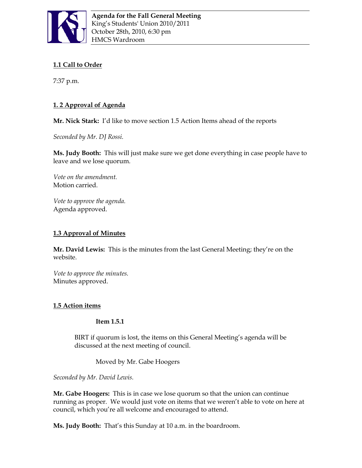

# **1.1 Call to Order**

7:37 p.m.

# **1. 2 Approval of Agenda**

**Mr. Nick Stark:** I'd like to move section 1.5 Action Items ahead of the reports

*Seconded by Mr. DJ Rossi.*

**Ms. Judy Booth:** This will just make sure we get done everything in case people have to leave and we lose quorum.

*Vote on the amendment.* Motion carried.

*Vote to approve the agenda.* Agenda approved.

## **1.3 Approval of Minutes**

**Mr. David Lewis:** This is the minutes from the last General Meeting; they're on the website.

*Vote to approve the minutes.* Minutes approved.

## **1.5 Action items**

## **Item 1.5.1**

BIRT if quorum is lost, the items on this General Meeting's agenda will be discussed at the next meeting of council.

Moved by Mr. Gabe Hoogers

*Seconded by Mr. David Lewis.*

**Mr. Gabe Hoogers:** This is in case we lose quorum so that the union can continue running as proper. We would just vote on items that we weren't able to vote on here at council, which you're all welcome and encouraged to attend.

**Ms. Judy Booth:** That's this Sunday at 10 a.m. in the boardroom.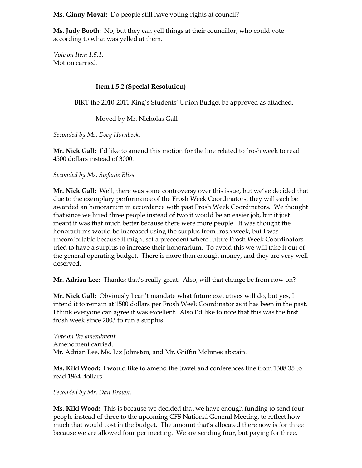**Ms. Ginny Movat:** Do people still have voting rights at council?

**Ms. Judy Booth:** No, but they can yell things at their councillor, who could vote according to what was yelled at them.

*Vote on Item 1.5.1.* Motion carried.

## **Item 1.5.2 (Special Resolution)**

BIRT the 2010-2011 King's Students' Union Budget be approved as attached.

Moved by Mr. Nicholas Gall

*Seconded by Ms. Evey Hornbeck.*

**Mr. Nick Gall:** I'd like to amend this motion for the line related to frosh week to read 4500 dollars instead of 3000.

*Seconded by Ms. Stefanie Bliss.*

**Mr. Nick Gall:** Well, there was some controversy over this issue, but we've decided that due to the exemplary performance of the Frosh Week Coordinators, they will each be awarded an honorarium in accordance with past Frosh Week Coordinators. We thought that since we hired three people instead of two it would be an easier job, but it just meant it was that much better because there were more people. It was thought the honorariums would be increased using the surplus from frosh week, but I was uncomfortable because it might set a precedent where future Frosh Week Coordinators tried to have a surplus to increase their honorarium. To avoid this we will take it out of the general operating budget. There is more than enough money, and they are very well deserved.

**Mr. Adrian Lee:** Thanks; that's really great. Also, will that change be from now on?

**Mr. Nick Gall:** Obviously I can't mandate what future executives will do, but yes, I intend it to remain at 1500 dollars per Frosh Week Coordinator as it has been in the past. I think everyone can agree it was excellent. Also I'd like to note that this was the first frosh week since 2003 to run a surplus.

*Vote on the amendment.* Amendment carried. Mr. Adrian Lee, Ms. Liz Johnston, and Mr. Griffin McInnes abstain.

**Ms. Kiki Wood:** I would like to amend the travel and conferences line from 1308.35 to read 1964 dollars.

*Seconded by Mr. Dan Brown.*

**Ms. Kiki Wood:** This is because we decided that we have enough funding to send four people instead of three to the upcoming CFS National General Meeting, to reflect how much that would cost in the budget. The amount that's allocated there now is for three because we are allowed four per meeting. We are sending four, but paying for three.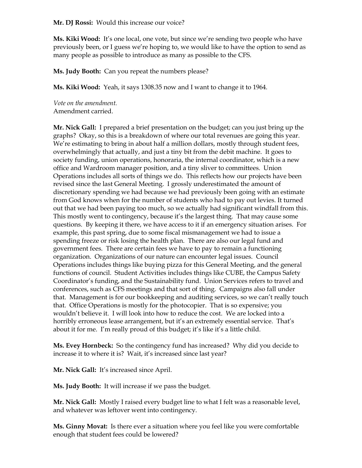**Mr. DJ Rossi:** Would this increase our voice?

**Ms. Kiki Wood:** It's one local, one vote, but since we're sending two people who have previously been, or I guess we're hoping to, we would like to have the option to send as many people as possible to introduce as many as possible to the CFS.

**Ms. Judy Booth:** Can you repeat the numbers please?

**Ms. Kiki Wood:** Yeah, it says 1308.35 now and I want to change it to 1964.

*Vote on the amendment.* Amendment carried.

**Mr. Nick Gall:** I prepared a brief presentation on the budget; can you just bring up the graphs? Okay, so this is a breakdown of where our total revenues are going this year. We're estimating to bring in about half a million dollars, mostly through student fees, overwhelmingly that actually, and just a tiny bit from the debit machine. It goes to society funding, union operations, honoraria, the internal coordinator, which is a new office and Wardroom manager position, and a tiny sliver to committees. Union Operations includes all sorts of things we do. This reflects how our projects have been revised since the last General Meeting. I grossly underestimated the amount of discretionary spending we had because we had previously been going with an estimate from God knows when for the number of students who had to pay out levies. It turned out that we had been paying too much, so we actually had significant windfall from this. This mostly went to contingency, because it's the largest thing. That may cause some questions. By keeping it there, we have access to it if an emergency situation arises. For example, this past spring, due to some fiscal mismanagement we had to issue a spending freeze or risk losing the health plan. There are also our legal fund and government fees. There are certain fees we have to pay to remain a functioning organization. Organizations of our nature can encounter legal issues. Council Operations includes things like buying pizza for this General Meeting, and the general functions of council. Student Activities includes things like CUBE, the Campus Safety Coordinator's funding, and the Sustainability fund. Union Services refers to travel and conferences, such as CFS meetings and that sort of thing. Campaigns also fall under that. Management is for our bookkeeping and auditing services, so we can't really touch that. Office Operations is mostly for the photocopier. That is so expensive; you wouldn't believe it. I will look into how to reduce the cost. We are locked into a horribly erroneous lease arrangement, but it's an extremely essential service. That's about it for me. I'm really proud of this budget; it's like it's a little child.

**Ms. Evey Hornbeck:** So the contingency fund has increased? Why did you decide to increase it to where it is? Wait, it's increased since last year?

**Mr. Nick Gall:** It's increased since April.

**Ms. Judy Booth:** It will increase if we pass the budget.

**Mr. Nick Gall:** Mostly I raised every budget line to what I felt was a reasonable level, and whatever was leftover went into contingency.

**Ms. Ginny Movat:** Is there ever a situation where you feel like you were comfortable enough that student fees could be lowered?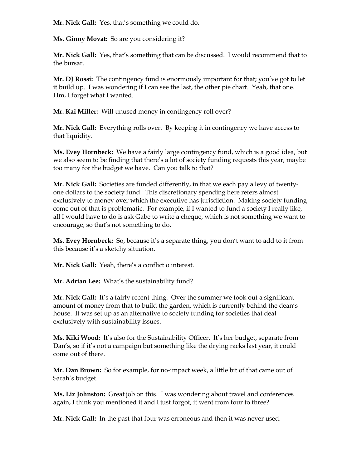**Mr. Nick Gall:** Yes, that's something we could do.

**Ms. Ginny Movat:** So are you considering it?

**Mr. Nick Gall:** Yes, that's something that can be discussed. I would recommend that to the bursar.

**Mr. DJ Rossi:** The contingency fund is enormously important for that; you've got to let it build up. I was wondering if I can see the last, the other pie chart. Yeah, that one. Hm, I forget what I wanted.

**Mr. Kai Miller:** Will unused money in contingency roll over?

**Mr. Nick Gall:** Everything rolls over. By keeping it in contingency we have access to that liquidity.

**Ms. Evey Hornbeck:** We have a fairly large contingency fund, which is a good idea, but we also seem to be finding that there's a lot of society funding requests this year, maybe too many for the budget we have. Can you talk to that?

**Mr. Nick Gall:** Societies are funded differently, in that we each pay a levy of twentyone dollars to the society fund. This discretionary spending here refers almost exclusively to money over which the executive has jurisdiction. Making society funding come out of that is problematic. For example, if I wanted to fund a society I really like, all I would have to do is ask Gabe to write a cheque, which is not something we want to encourage, so that's not something to do.

**Ms. Evey Hornbeck:** So, because it's a separate thing, you don't want to add to it from this because it's a sketchy situation.

**Mr. Nick Gall:** Yeah, there's a conflict o interest.

**Mr. Adrian Lee:** What's the sustainability fund?

**Mr. Nick Gall:** It's a fairly recent thing. Over the summer we took out a significant amount of money from that to build the garden, which is currently behind the dean's house. It was set up as an alternative to society funding for societies that deal exclusively with sustainability issues.

**Ms. Kiki Wood:** It's also for the Sustainability Officer. It's her budget, separate from Dan's, so if it's not a campaign but something like the drying racks last year, it could come out of there.

**Mr. Dan Brown:** So for example, for no-impact week, a little bit of that came out of Sarah's budget.

**Ms. Liz Johnston:** Great job on this. I was wondering about travel and conferences again, I think you mentioned it and I just forgot, it went from four to three?

**Mr. Nick Gall:** In the past that four was erroneous and then it was never used.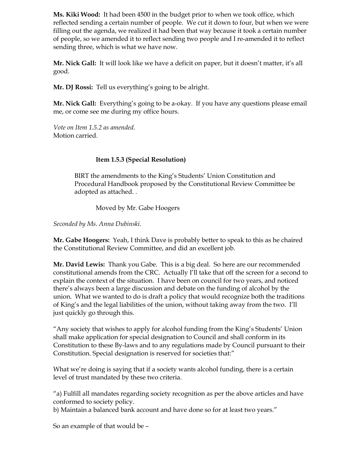**Ms. Kiki Wood:** It had been 4500 in the budget prior to when we took office, which reflected sending a certain number of people. We cut it down to four, but when we were filling out the agenda, we realized it had been that way because it took a certain number of people, so we amended it to reflect sending two people and I re-amended it to reflect sending three, which is what we have now.

**Mr. Nick Gall:** It will look like we have a deficit on paper, but it doesn't matter, it's all good.

**Mr. DJ Rossi:** Tell us everything's going to be alright.

**Mr. Nick Gall:** Everything's going to be a-okay. If you have any questions please email me, or come see me during my office hours.

*Vote on Item 1.5.2 as amended.* Motion carried.

## **Item 1.5.3 (Special Resolution)**

BIRT the amendments to the King's Students' Union Constitution and Procedural Handbook proposed by the Constitutional Review Committee be adopted as attached. .

Moved by Mr. Gabe Hoogers

*Seconded by Ms. Anna Dubinski.*

**Mr. Gabe Hoogers:** Yeah, I think Dave is probably better to speak to this as he chaired the Constitutional Review Committee, and did an excellent job.

**Mr. David Lewis:** Thank you Gabe. This is a big deal. So here are our recommended constitutional amends from the CRC. Actually I'll take that off the screen for a second to explain the context of the situation. I have been on council for two years, and noticed there's always been a large discussion and debate on the funding of alcohol by the union. What we wanted to do is draft a policy that would recognize both the traditions of King's and the legal liabilities of the union, without taking away from the two. I'll just quickly go through this.

"Any society that wishes to apply for alcohol funding from the King's Students' Union shall make application for special designation to Council and shall conform in its Constitution to these By-laws and to any regulations made by Council pursuant to their Constitution. Special designation is reserved for societies that:"

What we're doing is saying that if a society wants alcohol funding, there is a certain level of trust mandated by these two criteria.

"a) Fulfill all mandates regarding society recognition as per the above articles and have conformed to society policy.

b) Maintain a balanced bank account and have done so for at least two years."

So an example of that would be –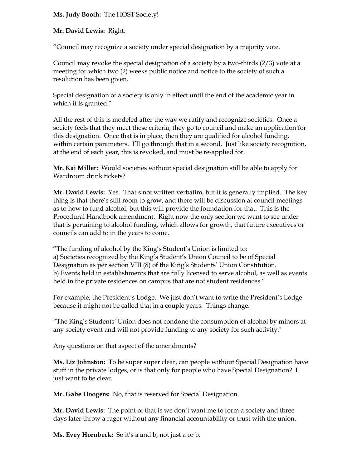## **Ms. Judy Booth:** The HOST Society!

### **Mr. David Lewis:** Right.

"Council may recognize a society under special designation by a majority vote.

Council may revoke the special designation of a society by a two-thirds (2/3) vote at a meeting for which two (2) weeks public notice and notice to the society of such a resolution has been given.

Special designation of a society is only in effect until the end of the academic year in which it is granted."

All the rest of this is modeled after the way we ratify and recognize societies. Once a society feels that they meet these criteria, they go to council and make an application for this designation. Once that is in place, then they are qualified for alcohol funding, within certain parameters. I'll go through that in a second. Just like society recognition, at the end of each year, this is revoked, and must be re-applied for.

**Mr. Kai Miller:** Would societies without special designation still be able to apply for Wardroom drink tickets?

**Mr. David Lewis:** Yes. That's not written verbatim, but it is generally implied. The key thing is that there's still room to grow, and there will be discussion at council meetings as to how to fund alcohol, but this will provide the foundation for that. This is the Procedural Handbook amendment. Right now the only section we want to see under that is pertaining to alcohol funding, which allows for growth, that future executives or councils can add to in the years to come.

"The funding of alcohol by the King's Student's Union is limited to: a) Societies recognized by the King's Student's Union Council to be of Special Designation as per section VIII (8) of the King's Students' Union Constitution. b) Events held in establishments that are fully licensed to serve alcohol, as well as events held in the private residences on campus that are not student residences."

For example, the President's Lodge. We just don't want to write the President's Lodge because it might not be called that in a couple years. Things change.

"The King's Students' Union does not condone the consumption of alcohol by minors at any society event and will not provide funding to any society for such activity."

Any questions on that aspect of the amendments?

**Ms. Liz Johnston:** To be super super clear, can people without Special Designation have stuff in the private lodges, or is that only for people who have Special Designation? I just want to be clear.

**Mr. Gabe Hoogers:** No, that is reserved for Special Designation.

**Mr. David Lewis:** The point of that is we don't want me to form a society and three days later throw a rager without any financial accountability or trust with the union.

**Ms. Evey Hornbeck:** So it's a and b, not just a or b.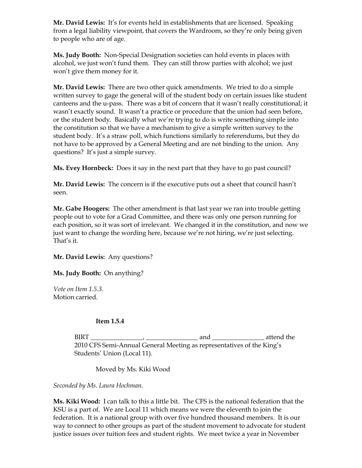**Mr. David Lewis:** It's for events held in establishments that are licensed. Speaking from a legal liability viewpoint, that covers the Wardroom, so they're only being given to people who are of age.

**Ms. Judy Booth:** Non-Special Designation societies can hold events in places with alcohol, we just won't fund them. They can still throw parties with alcohol; we just won't give them money for it.

**Mr. David Lewis:** There are two other quick amendments. We tried to do a simple written survey to gage the general will of the student body on certain issues like student canteens and the u-pass. There was a bit of concern that it wasn't really constitutional; it wasn't exactly sound. It wasn't a practice or procedure that the union had seen before, or the student body. Basically what we're trying to do is write something simple into the constitution so that we have a mechanism to give a simple written survey to the student body. It's a straw poll, which functions similarly to referendums, but they do not have to be approved by a General Meeting and are not binding to the union. Any questions? It's just a simple survey.

**Ms. Evey Hornbeck:** Does it say in the next part that they have to go past council?

**Mr. David Lewis:** The concern is if the executive puts out a sheet that council hasn't seen.

**Mr. Gabe Hoogers:** The other amendment is that last year we ran into trouble getting people out to vote for a Grad Committee, and there was only one person running for each position, so it was sort of irrelevant. We changed it in the constitution, and now we just want to change the wording here, because we're not hiring, we're just selecting. That's it.

## **Mr. David Lewis:** Any questions?

**Ms. Judy Booth:** On anything?

*Vote on Item 1.5.3.* Motion carried.

### **Item 1.5.4**

BIRT \_\_\_\_\_\_\_\_\_\_\_\_\_\_\_\_, \_\_\_\_\_\_\_\_\_\_\_\_\_\_\_\_ and \_\_\_\_\_\_\_\_\_\_\_\_\_\_\_\_ attend the 2010 CFS Semi-Annual General Meeting as representatives of the King's Students' Union (Local 11).

Moved by Ms. Kiki Wood

*Seconded by Ms. Laura Hochman.*

**Ms. Kiki Wood:** I can talk to this a little bit. The CFS is the national federation that the KSU is a part of. We are Local 11 which means we were the eleventh to join the federation. It is a national group with over five hundred thousand members. It is our way to connect to other groups as part of the student movement to advocate for student justice issues over tuition fees and student rights. We meet twice a year in November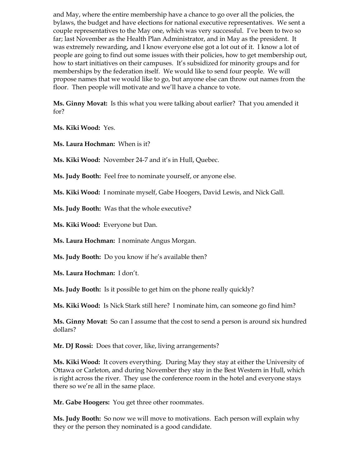and May, where the entire membership have a chance to go over all the policies, the bylaws, the budget and have elections for national executive representatives. We sent a couple representatives to the May one, which was very successful. I've been to two so far; last November as the Health Plan Administrator, and in May as the president. It was extremely rewarding, and I know everyone else got a lot out of it. I know a lot of people are going to find out some issues with their policies, how to get membership out, how to start initiatives on their campuses. It's subsidized for minority groups and for memberships by the federation itself. We would like to send four people. We will propose names that we would like to go, but anyone else can throw out names from the floor. Then people will motivate and we'll have a chance to vote.

**Ms. Ginny Movat:** Is this what you were talking about earlier? That you amended it for?

**Ms. Kiki Wood:** Yes.

**Ms. Laura Hochman:** When is it?

**Ms. Kiki Wood:** November 24-7 and it's in Hull, Quebec.

**Ms. Judy Booth:** Feel free to nominate yourself, or anyone else.

**Ms. Kiki Wood:** I nominate myself, Gabe Hoogers, David Lewis, and Nick Gall.

**Ms. Judy Booth:** Was that the whole executive?

**Ms. Kiki Wood:** Everyone but Dan.

**Ms. Laura Hochman:** I nominate Angus Morgan.

**Ms. Judy Booth:** Do you know if he's available then?

**Ms. Laura Hochman:** I don't.

**Ms. Judy Booth:** Is it possible to get him on the phone really quickly?

**Ms. Kiki Wood:** Is Nick Stark still here? I nominate him, can someone go find him?

**Ms. Ginny Movat:** So can I assume that the cost to send a person is around six hundred dollars?

**Mr. DJ Rossi:** Does that cover, like, living arrangements?

**Ms. Kiki Wood:** It covers everything. During May they stay at either the University of Ottawa or Carleton, and during November they stay in the Best Western in Hull, which is right across the river. They use the conference room in the hotel and everyone stays there so we're all in the same place.

**Mr. Gabe Hoogers:** You get three other roommates.

**Ms. Judy Booth:** So now we will move to motivations. Each person will explain why they or the person they nominated is a good candidate.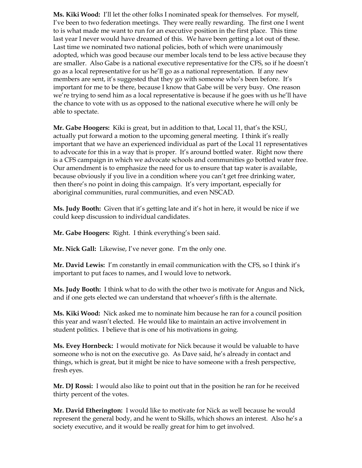**Ms. Kiki Wood:** I'll let the other folks I nominated speak for themselves. For myself, I've been to two federation meetings. They were really rewarding. The first one I went to is what made me want to run for an executive position in the first place. This time last year I never would have dreamed of this. We have been getting a lot out of these. Last time we nominated two national policies, both of which were unanimously adopted, which was good because our member locals tend to be less active because they are smaller. Also Gabe is a national executive representative for the CFS, so if he doesn't go as a local representative for us he'll go as a national representation. If any new members are sent, it's suggested that they go with someone who's been before. It's important for me to be there, because I know that Gabe will be very busy. One reason we're trying to send him as a local representative is because if he goes with us he'll have the chance to vote with us as opposed to the national executive where he will only be able to spectate.

**Mr. Gabe Hoogers:** Kiki is great, but in addition to that, Local 11, that's the KSU, actually put forward a motion to the upcoming general meeting. I think it's really important that we have an experienced individual as part of the Local 11 representatives to advocate for this in a way that is proper. It's around bottled water. Right now there is a CFS campaign in which we advocate schools and communities go bottled water free. Our amendment is to emphasize the need for us to ensure that tap water is available, because obviously if you live in a condition where you can't get free drinking water, then there's no point in doing this campaign. It's very important, especially for aboriginal communities, rural communities, and even NSCAD.

**Ms. Judy Booth:** Given that it's getting late and it's hot in here, it would be nice if we could keep discussion to individual candidates.

**Mr. Gabe Hoogers:** Right. I think everything's been said.

**Mr. Nick Gall:** Likewise, I've never gone. I'm the only one.

**Mr. David Lewis:** I'm constantly in email communication with the CFS, so I think it's important to put faces to names, and I would love to network.

**Ms. Judy Booth:** I think what to do with the other two is motivate for Angus and Nick, and if one gets elected we can understand that whoever's fifth is the alternate.

**Ms. Kiki Wood:** Nick asked me to nominate him because he ran for a council position this year and wasn't elected. He would like to maintain an active involvement in student politics. I believe that is one of his motivations in going.

**Ms. Evey Hornbeck:** I would motivate for Nick because it would be valuable to have someone who is not on the executive go. As Dave said, he's already in contact and things, which is great, but it might be nice to have someone with a fresh perspective, fresh eyes.

**Mr. DJ Rossi:** I would also like to point out that in the position he ran for he received thirty percent of the votes.

**Mr. David Etherington:** I would like to motivate for Nick as well because he would represent the general body, and he went to Skills, which shows an interest. Also he's a society executive, and it would be really great for him to get involved.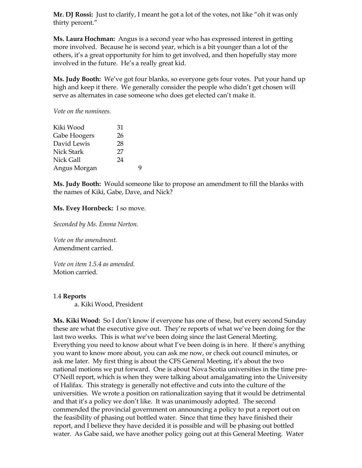**Mr. DJ Rossi:** Just to clarify, I meant he got a lot of the votes, not like "oh it was only thirty percent."

**Ms. Laura Hochman:** Angus is a second year who has expressed interest in getting more involved. Because he is second year, which is a bit younger than a lot of the others, it's a great opportunity for him to get involved, and then hopefully stay more involved in the future. He's a really great kid.

**Ms. Judy Booth:** We've got four blanks, so everyone gets four votes. Put your hand up high and keep it there. We generally consider the people who didn't get chosen will serve as alternates in case someone who does get elected can't make it.

*Vote on the nominees.*

| Kiki Wood    | 31 |
|--------------|----|
| Gabe Hoogers | 26 |
| David Lewis  | 28 |
| Nick Stark   | 27 |
| Nick Gall    | 24 |
| Angus Morgan |    |

**Ms. Judy Booth:** Would someone like to propose an amendment to fill the blanks with the names of Kiki, Gabe, Dave, and Nick?

#### **Ms. Evey Hornbeck:** I so move.

*Seconded by Ms. Emma Norton.*

*Vote on the amendment.* Amendment carried.

*Vote on item 1.5.4 as amended.* Motion carried.

#### 1.4 **Reports**

a. Kiki Wood, President

**Ms. Kiki Wood:** So I don't know if everyone has one of these, but every second Sunday these are what the executive give out. They're reports of what we've been doing for the last two weeks. This is what we've been doing since the last General Meeting. Everything you need to know about what I've been doing is in here. If there's anything you want to know more about, you can ask me now, or check out council minutes, or ask me later. My first thing is about the CFS General Meeting, it's about the two national motions we put forward. One is about Nova Scotia universities in the time pre-O'Neill report, which is when they were talking about amalgamating into the University of Halifax. This strategy is generally not effective and cuts into the culture of the universities. We wrote a position on rationalization saying that it would be detrimental and that it's a policy we don't like. It was unanimously adopted. The second commended the provincial government on announcing a policy to put a report out on the feasibility of phasing out bottled water. Since that time they have finished their report, and I believe they have decided it is possible and will be phasing out bottled water. As Gabe said, we have another policy going out at this General Meeting. Water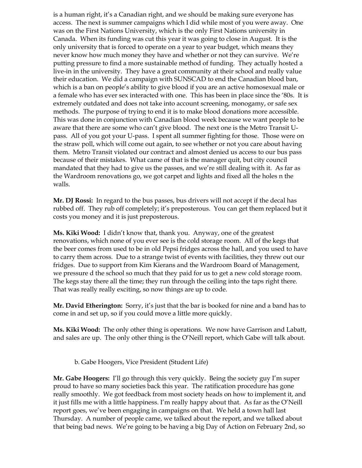is a human right, it's a Canadian right, and we should be making sure everyone has access. The next is summer campaigns which I did while most of you were away. One was on the First Nations University, which is the only First Nations university in Canada. When its funding was cut this year it was going to close in August. It is the only university that is forced to operate on a year to year budget, which means they never know how much money they have and whether or not they can survive. We're putting pressure to find a more sustainable method of funding. They actually hosted a live-in in the university. They have a great community at their school and really value their education. We did a campaign with SUNSCAD to end the Canadian blood ban, which is a ban on people's ability to give blood if you are an active homosexual male or a female who has ever sex interacted with one. This has been in place since the '80s. It is extremely outdated and does not take into account screening, monogamy, or safe sex methods. The purpose of trying to end it is to make blood donations more accessible. This was done in conjunction with Canadian blood week because we want people to be aware that there are some who can't give blood. The next one is the Metro Transit Upass. All of you got your U-pass. I spent all summer fighting for those. Those were on the straw poll, which will come out again, to see whether or not you care about having them. Metro Transit violated our contract and almost denied us access to our bus pass because of their mistakes. What came of that is the manager quit, but city council mandated that they had to give us the passes, and we're still dealing with it. As far as the Wardroom renovations go, we got carpet and lights and fixed all the holes n the walls.

**Mr. DJ Rossi:** In regard to the bus passes, bus drivers will not accept if the decal has rubbed off. They rub off completely; it's preposterous. You can get them replaced but it costs you money and it is just preposterous.

**Ms. Kiki Wood:** I didn't know that, thank you. Anyway, one of the greatest renovations, which none of you ever see is the cold storage room. All of the kegs that the beer comes from used to be in old Pepsi fridges across the hall, and you used to have to carry them across. Due to a strange twist of events with facilities, they threw out our fridges. Due to support from Kim Kierans and the Wardroom Board of Management, we pressure d the school so much that they paid for us to get a new cold storage room. The kegs stay there all the time; they run through the ceiling into the taps right there. That was really really exciting, so now things are up to code.

**Mr. David Etherington:** Sorry, it's just that the bar is booked for nine and a band has to come in and set up, so if you could move a little more quickly.

**Ms. Kiki Wood:** The only other thing is operations. We now have Garrison and Labatt, and sales are up. The only other thing is the O'Neill report, which Gabe will talk about.

b. Gabe Hoogers, Vice President (Student Life)

**Mr. Gabe Hoogers:** I'll go through this very quickly. Being the society guy I'm super proud to have so many societies back this year. The ratification procedure has gone really smoothly. We got feedback from most society heads on how to implement it, and it just fills me with a little happiness. I'm really happy about that. As far as the O'Neill report goes, we've been engaging in campaigns on that. We held a town hall last Thursday. A number of people came, we talked about the report, and we talked about that being bad news. We're going to be having a big Day of Action on February 2nd, so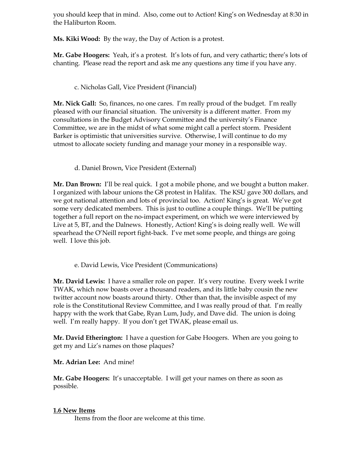you should keep that in mind. Also, come out to Action! King's on Wednesday at 8:30 in the Haliburton Room.

**Ms. Kiki Wood:** By the way, the Day of Action is a protest.

**Mr. Gabe Hoogers:** Yeah, it's a protest. It's lots of fun, and very cathartic; there's lots of chanting. Please read the report and ask me any questions any time if you have any.

## c. Nicholas Gall, Vice President (Financial)

**Mr. Nick Gall:** So, finances, no one cares. I'm really proud of the budget. I'm really pleased with our financial situation. The university is a different matter. From my consultations in the Budget Advisory Committee and the university's Finance Committee, we are in the midst of what some might call a perfect storm. President Barker is optimistic that universities survive. Otherwise, I will continue to do my utmost to allocate society funding and manage your money in a responsible way.

## d. Daniel Brown, Vice President (External)

**Mr. Dan Brown:** I'll be real quick. I got a mobile phone, and we bought a button maker. I organized with labour unions the G8 protest in Halifax. The KSU gave 300 dollars, and we got national attention and lots of provincial too. Action! King's is great. We've got some very dedicated members. This is just to outline a couple things. We'll be putting together a full report on the no-impact experiment, on which we were interviewed by Live at 5, BT, and the Dalnews. Honestly, Action! King's is doing really well. We will spearhead the O'Neill report fight-back. I've met some people, and things are going well. I love this job.

## e. David Lewis, Vice President (Communications)

**Mr. David Lewis:** I have a smaller role on paper. It's very routine. Every week I write TWAK, which now boasts over a thousand readers, and its little baby cousin the new twitter account now boasts around thirty. Other than that, the invisible aspect of my role is the Constitutional Review Committee, and I was really proud of that. I'm really happy with the work that Gabe, Ryan Lum, Judy, and Dave did. The union is doing well. I'm really happy. If you don't get TWAK, please email us.

**Mr. David Etherington:** I have a question for Gabe Hoogers. When are you going to get my and Liz's names on those plaques?

### **Mr. Adrian Lee:** And mine!

**Mr. Gabe Hoogers:** It's unacceptable. I will get your names on there as soon as possible.

### **1.6 New Items**

Items from the floor are welcome at this time.